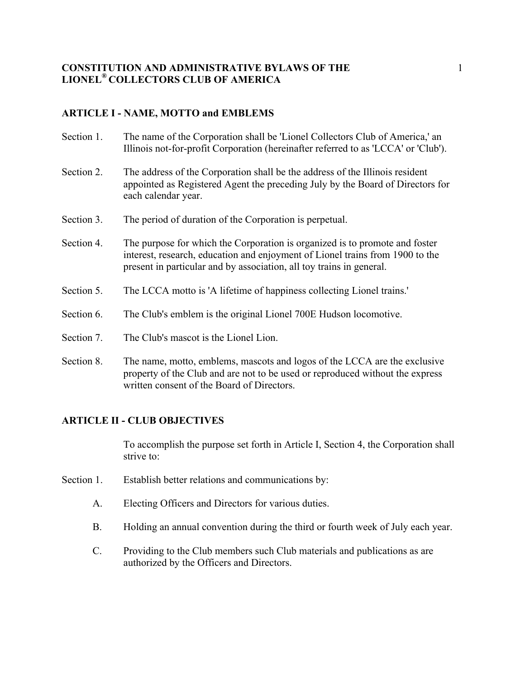# **ARTICLE I - NAME, MOTTO and EMBLEMS**

- Section 1. The name of the Corporation shall be 'Lionel Collectors Club of America,' an Illinois not-for-profit Corporation (hereinafter referred to as 'LCCA' or 'Club').
- Section 2. The address of the Corporation shall be the address of the Illinois resident appointed as Registered Agent the preceding July by the Board of Directors for each calendar year.
- Section 3. The period of duration of the Corporation is perpetual.
- Section 4. The purpose for which the Corporation is organized is to promote and foster interest, research, education and enjoyment of Lionel trains from 1900 to the present in particular and by association, all toy trains in general.
- Section 5. The LCCA motto is 'A lifetime of happiness collecting Lionel trains.'
- Section 6. The Club's emblem is the original Lionel 700E Hudson locomotive.
- Section 7. The Club's mascot is the Lionel Lion.
- Section 8. The name, motto, emblems, mascots and logos of the LCCA are the exclusive property of the Club and are not to be used or reproduced without the express written consent of the Board of Directors.

# **ARTICLE II - CLUB OBJECTIVES**

To accomplish the purpose set forth in Article I, Section 4, the Corporation shall strive to:

- Section 1. Establish better relations and communications by:
	- A. Electing Officers and Directors for various duties.
	- B. Holding an annual convention during the third or fourth week of July each year.
	- C. Providing to the Club members such Club materials and publications as are authorized by the Officers and Directors.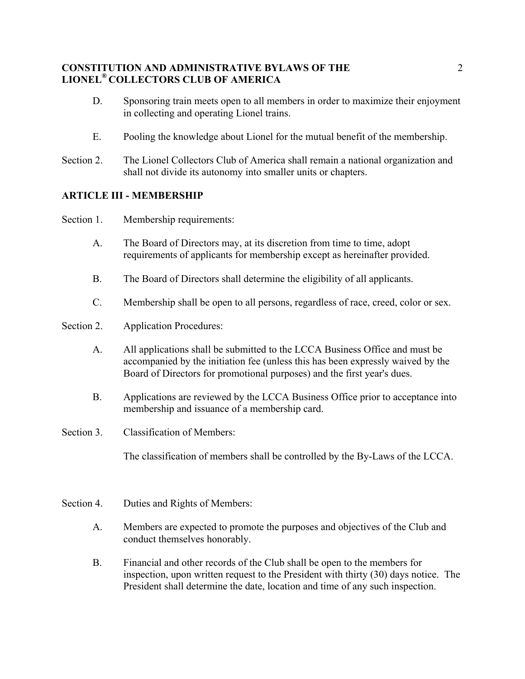- D. Sponsoring train meets open to all members in order to maximize their enjoyment in collecting and operating Lionel trains.
- E. Pooling the knowledge about Lionel for the mutual benefit of the membership.
- Section 2. The Lionel Collectors Club of America shall remain a national organization and shall not divide its autonomy into smaller units or chapters.

# **ARTICLE III - MEMBERSHIP**

Section 1. Membership requirements:

- A. The Board of Directors may, at its discretion from time to time, adopt requirements of applicants for membership except as hereinafter provided.
- B. The Board of Directors shall determine the eligibility of all applicants.
- C. Membership shall be open to all persons, regardless of race, creed, color or sex.
- Section 2. Application Procedures:
	- A. All applications shall be submitted to the LCCA Business Office and must be accompanied by the initiation fee (unless this has been expressly waived by the Board of Directors for promotional purposes) and the first year's dues.
	- B. Applications are reviewed by the LCCA Business Office prior to acceptance into membership and issuance of a membership card.
- Section 3. Classification of Members:

The classification of members shall be controlled by the By-Laws of the LCCA.

- Section 4. Duties and Rights of Members:
	- A. Members are expected to promote the purposes and objectives of the Club and conduct themselves honorably.
	- B. Financial and other records of the Club shall be open to the members for inspection, upon written request to the President with thirty (30) days notice. The President shall determine the date, location and time of any such inspection.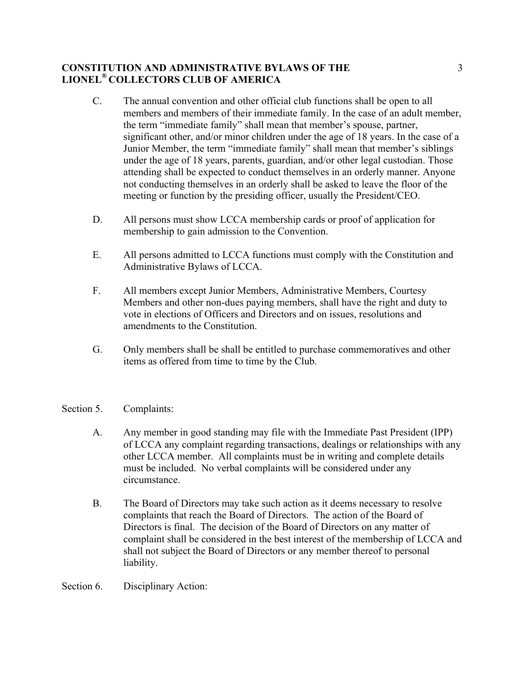- C. The annual convention and other official club functions shall be open to all members and members of their immediate family. In the case of an adult member, the term "immediate family" shall mean that member's spouse, partner, significant other, and/or minor children under the age of 18 years. In the case of a Junior Member, the term "immediate family" shall mean that member's siblings under the age of 18 years, parents, guardian, and/or other legal custodian. Those attending shall be expected to conduct themselves in an orderly manner. Anyone not conducting themselves in an orderly shall be asked to leave the floor of the meeting or function by the presiding officer, usually the President/CEO.
- D. All persons must show LCCA membership cards or proof of application for membership to gain admission to the Convention.
- E. All persons admitted to LCCA functions must comply with the Constitution and Administrative Bylaws of LCCA.
- F. All members except Junior Members, Administrative Members, Courtesy Members and other non-dues paying members, shall have the right and duty to vote in elections of Officers and Directors and on issues, resolutions and amendments to the Constitution.
- G. Only members shall be shall be entitled to purchase commemoratives and other items as offered from time to time by the Club.
- Section 5. Complaints:
	- A. Any member in good standing may file with the Immediate Past President (IPP) of LCCA any complaint regarding transactions, dealings or relationships with any other LCCA member. All complaints must be in writing and complete details must be included. No verbal complaints will be considered under any circumstance.
	- B. The Board of Directors may take such action as it deems necessary to resolve complaints that reach the Board of Directors. The action of the Board of Directors is final. The decision of the Board of Directors on any matter of complaint shall be considered in the best interest of the membership of LCCA and shall not subject the Board of Directors or any member thereof to personal liability.
- Section 6. Disciplinary Action: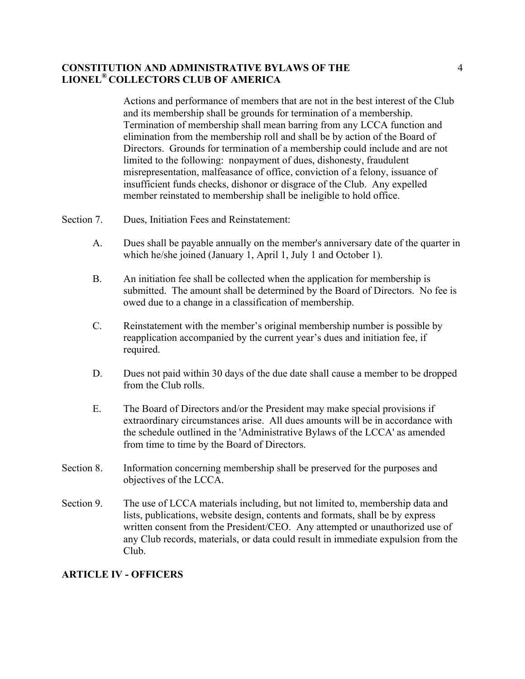Actions and performance of members that are not in the best interest of the Club and its membership shall be grounds for termination of a membership. Termination of membership shall mean barring from any LCCA function and elimination from the membership roll and shall be by action of the Board of Directors. Grounds for termination of a membership could include and are not limited to the following: nonpayment of dues, dishonesty, fraudulent misrepresentation, malfeasance of office, conviction of a felony, issuance of insufficient funds checks, dishonor or disgrace of the Club. Any expelled member reinstated to membership shall be ineligible to hold office.

- Section 7. Dues, Initiation Fees and Reinstatement:
	- A. Dues shall be payable annually on the member's anniversary date of the quarter in which he/she joined (January 1, April 1, July 1 and October 1).
	- B. An initiation fee shall be collected when the application for membership is submitted. The amount shall be determined by the Board of Directors. No fee is owed due to a change in a classification of membership.
	- C. Reinstatement with the member's original membership number is possible by reapplication accompanied by the current year's dues and initiation fee, if required.
	- D. Dues not paid within 30 days of the due date shall cause a member to be dropped from the Club rolls.
	- E. The Board of Directors and/or the President may make special provisions if extraordinary circumstances arise. All dues amounts will be in accordance with the schedule outlined in the 'Administrative Bylaws of the LCCA' as amended from time to time by the Board of Directors.
- Section 8. Information concerning membership shall be preserved for the purposes and objectives of the LCCA.
- Section 9. The use of LCCA materials including, but not limited to, membership data and lists, publications, website design, contents and formats, shall be by express written consent from the President/CEO. Any attempted or unauthorized use of any Club records, materials, or data could result in immediate expulsion from the Club.

### **ARTICLE IV - OFFICERS**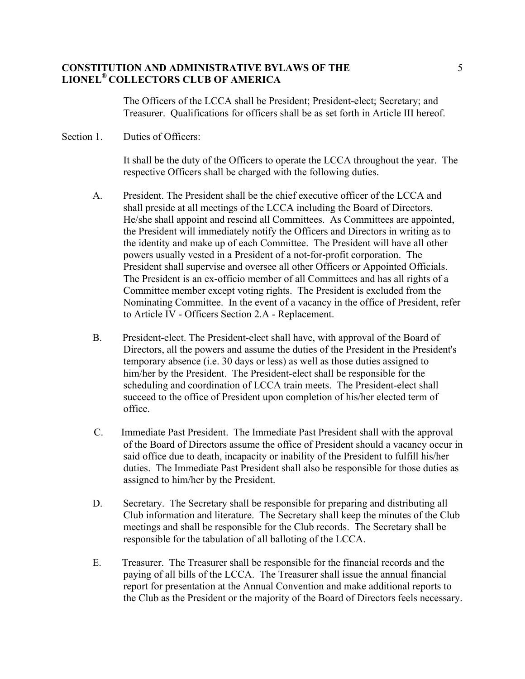The Officers of the LCCA shall be President; President-elect; Secretary; and Treasurer. Qualifications for officers shall be as set forth in Article III hereof.

### Section 1. Duties of Officers:

It shall be the duty of the Officers to operate the LCCA throughout the year. The respective Officers shall be charged with the following duties.

- A. President. The President shall be the chief executive officer of the LCCA and shall preside at all meetings of the LCCA including the Board of Directors. He/she shall appoint and rescind all Committees. As Committees are appointed, the President will immediately notify the Officers and Directors in writing as to the identity and make up of each Committee. The President will have all other powers usually vested in a President of a not-for-profit corporation. The President shall supervise and oversee all other Officers or Appointed Officials. The President is an ex-officio member of all Committees and has all rights of a Committee member except voting rights. The President is excluded from the Nominating Committee. In the event of a vacancy in the office of President, refer to Article IV - Officers Section 2.A - Replacement.
- B. President-elect. The President-elect shall have, with approval of the Board of Directors, all the powers and assume the duties of the President in the President's temporary absence (i.e. 30 days or less) as well as those duties assigned to him/her by the President. The President-elect shall be responsible for the scheduling and coordination of LCCA train meets. The President-elect shall succeed to the office of President upon completion of his/her elected term of office.
- C. Immediate Past President. The Immediate Past President shall with the approval of the Board of Directors assume the office of President should a vacancy occur in said office due to death, incapacity or inability of the President to fulfill his/her duties. The Immediate Past President shall also be responsible for those duties as assigned to him/her by the President.
- D. Secretary. The Secretary shall be responsible for preparing and distributing all Club information and literature. The Secretary shall keep the minutes of the Club meetings and shall be responsible for the Club records. The Secretary shall be responsible for the tabulation of all balloting of the LCCA.
- E. Treasurer. The Treasurer shall be responsible for the financial records and the paying of all bills of the LCCA. The Treasurer shall issue the annual financial report for presentation at the Annual Convention and make additional reports to the Club as the President or the majority of the Board of Directors feels necessary.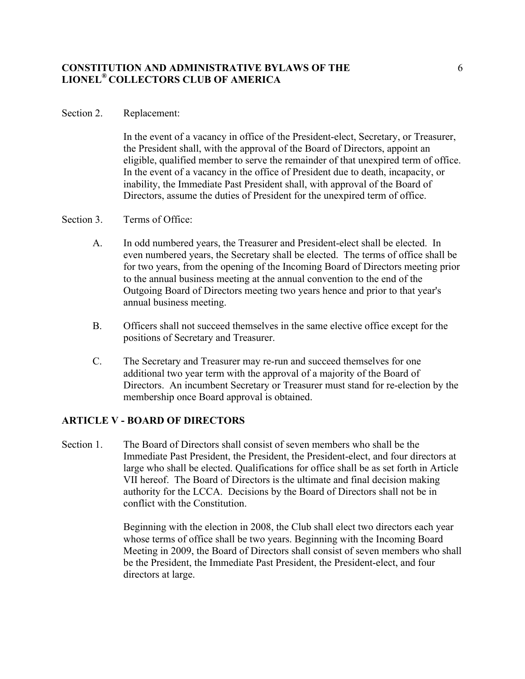### Section 2. Replacement:

In the event of a vacancy in office of the President-elect, Secretary, or Treasurer, the President shall, with the approval of the Board of Directors, appoint an eligible, qualified member to serve the remainder of that unexpired term of office. In the event of a vacancy in the office of President due to death, incapacity, or inability, the Immediate Past President shall, with approval of the Board of Directors, assume the duties of President for the unexpired term of office.

### Section 3. Terms of Office:

- A. In odd numbered years, the Treasurer and President-elect shall be elected. In even numbered years, the Secretary shall be elected. The terms of office shall be for two years, from the opening of the Incoming Board of Directors meeting prior to the annual business meeting at the annual convention to the end of the Outgoing Board of Directors meeting two years hence and prior to that year's annual business meeting.
- B. Officers shall not succeed themselves in the same elective office except for the positions of Secretary and Treasurer.
- C. The Secretary and Treasurer may re-run and succeed themselves for one additional two year term with the approval of a majority of the Board of Directors. An incumbent Secretary or Treasurer must stand for re-election by the membership once Board approval is obtained.

### **ARTICLE V - BOARD OF DIRECTORS**

Section 1. The Board of Directors shall consist of seven members who shall be the Immediate Past President, the President, the President-elect, and four directors at large who shall be elected. Qualifications for office shall be as set forth in Article VII hereof. The Board of Directors is the ultimate and final decision making authority for the LCCA. Decisions by the Board of Directors shall not be in conflict with the Constitution.

> Beginning with the election in 2008, the Club shall elect two directors each year whose terms of office shall be two years. Beginning with the Incoming Board Meeting in 2009, the Board of Directors shall consist of seven members who shall be the President, the Immediate Past President, the President-elect, and four directors at large.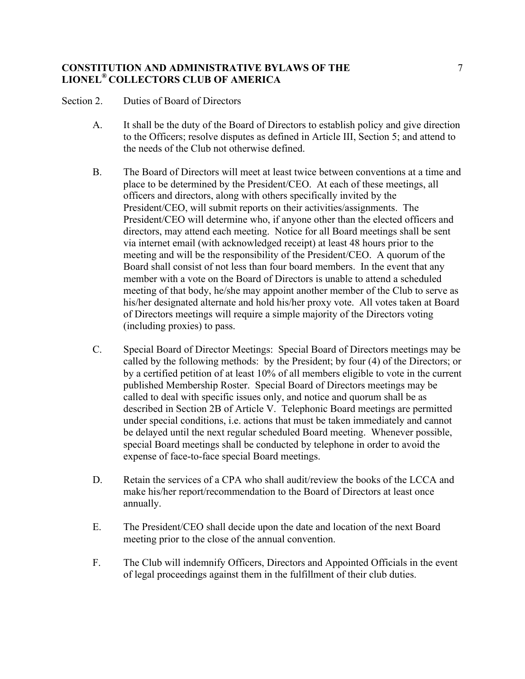Section 2. Duties of Board of Directors

- A. It shall be the duty of the Board of Directors to establish policy and give direction to the Officers; resolve disputes as defined in Article III, Section 5; and attend to the needs of the Club not otherwise defined.
- B. The Board of Directors will meet at least twice between conventions at a time and place to be determined by the President/CEO. At each of these meetings, all officers and directors, along with others specifically invited by the President/CEO, will submit reports on their activities/assignments. The President/CEO will determine who, if anyone other than the elected officers and directors, may attend each meeting. Notice for all Board meetings shall be sent via internet email (with acknowledged receipt) at least 48 hours prior to the meeting and will be the responsibility of the President/CEO. A quorum of the Board shall consist of not less than four board members. In the event that any member with a vote on the Board of Directors is unable to attend a scheduled meeting of that body, he/she may appoint another member of the Club to serve as his/her designated alternate and hold his/her proxy vote. All votes taken at Board of Directors meetings will require a simple majority of the Directors voting (including proxies) to pass.
- C. Special Board of Director Meetings: Special Board of Directors meetings may be called by the following methods: by the President; by four (4) of the Directors; or by a certified petition of at least 10% of all members eligible to vote in the current published Membership Roster. Special Board of Directors meetings may be called to deal with specific issues only, and notice and quorum shall be as described in Section 2B of Article V. Telephonic Board meetings are permitted under special conditions, i.e. actions that must be taken immediately and cannot be delayed until the next regular scheduled Board meeting. Whenever possible, special Board meetings shall be conducted by telephone in order to avoid the expense of face-to-face special Board meetings.
- D. Retain the services of a CPA who shall audit/review the books of the LCCA and make his/her report/recommendation to the Board of Directors at least once annually.
- E. The President/CEO shall decide upon the date and location of the next Board meeting prior to the close of the annual convention.
- F. The Club will indemnify Officers, Directors and Appointed Officials in the event of legal proceedings against them in the fulfillment of their club duties.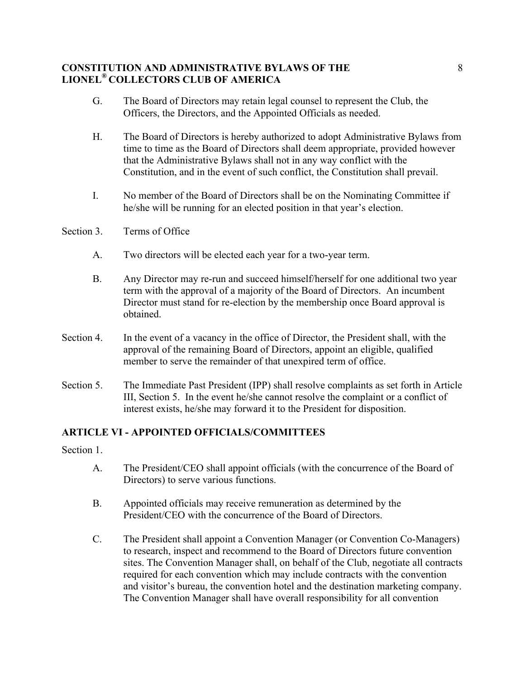- G. The Board of Directors may retain legal counsel to represent the Club, the Officers, the Directors, and the Appointed Officials as needed.
- H. The Board of Directors is hereby authorized to adopt Administrative Bylaws from time to time as the Board of Directors shall deem appropriate, provided however that the Administrative Bylaws shall not in any way conflict with the Constitution, and in the event of such conflict, the Constitution shall prevail.
- I. No member of the Board of Directors shall be on the Nominating Committee if he/she will be running for an elected position in that year's election.
- Section 3. Terms of Office
	- A. Two directors will be elected each year for a two-year term.
	- B. Any Director may re-run and succeed himself/herself for one additional two year term with the approval of a majority of the Board of Directors. An incumbent Director must stand for re-election by the membership once Board approval is obtained.
- Section 4. In the event of a vacancy in the office of Director, the President shall, with the approval of the remaining Board of Directors, appoint an eligible, qualified member to serve the remainder of that unexpired term of office.
- Section 5. The Immediate Past President (IPP) shall resolve complaints as set forth in Article III, Section 5. In the event he/she cannot resolve the complaint or a conflict of interest exists, he/she may forward it to the President for disposition.

# **ARTICLE VI - APPOINTED OFFICIALS/COMMITTEES**

Section 1.

- A. The President/CEO shall appoint officials (with the concurrence of the Board of Directors) to serve various functions.
- B. Appointed officials may receive remuneration as determined by the President/CEO with the concurrence of the Board of Directors.
- C. The President shall appoint a Convention Manager (or Convention Co-Managers) to research, inspect and recommend to the Board of Directors future convention sites. The Convention Manager shall, on behalf of the Club, negotiate all contracts required for each convention which may include contracts with the convention and visitor's bureau, the convention hotel and the destination marketing company. The Convention Manager shall have overall responsibility for all convention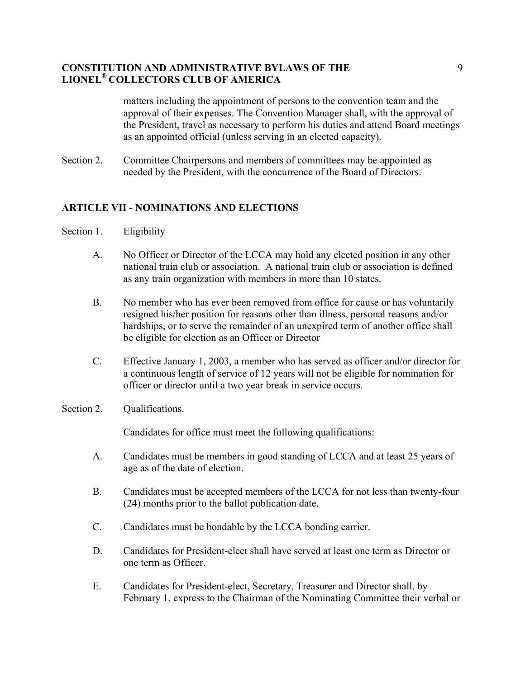matters including the appointment of persons to the convention team and the approval of their expenses. The Convention Manager shall, with the approval of the President, travel as necessary to perform his duties and attend Board meetings as an appointed official (unless serving in an elected capacity).

Section 2. Committee Chairpersons and members of committees may be appointed as needed by the President, with the concurrence of the Board of Directors.

## **ARTICLE VII - NOMINATIONS AND ELECTIONS**

- Section 1. Eligibility
	- A. No Officer or Director of the LCCA may hold any elected position in any other national train club or association. A national train club or association is defined as any train organization with members in more than 10 states.
	- B. No member who has ever been removed from office for cause or has voluntarily resigned his/her position for reasons other than illness, personal reasons and/or hardships, or to serve the remainder of an unexpired term of another office shall be eligible for election as an Officer or Director
	- C. Effective January 1, 2003, a member who has served as officer and/or director for a continuous length of service of 12 years will not be eligible for nomination for officer or director until a two year break in service occurs.
- Section 2. Qualifications.

Candidates for office must meet the following qualifications:

- A. Candidates must be members in good standing of LCCA and at least 25 years of age as of the date of election.
- B. Candidates must be accepted members of the LCCA for not less than twenty-four (24) months prior to the ballot publication date.
- C. Candidates must be bondable by the LCCA bonding carrier.
- D. Candidates for President-elect shall have served at least one term as Director or one term as Officer.
- E. Candidates for President-elect, Secretary, Treasurer and Director shall, by February 1, express to the Chairman of the Nominating Committee their verbal or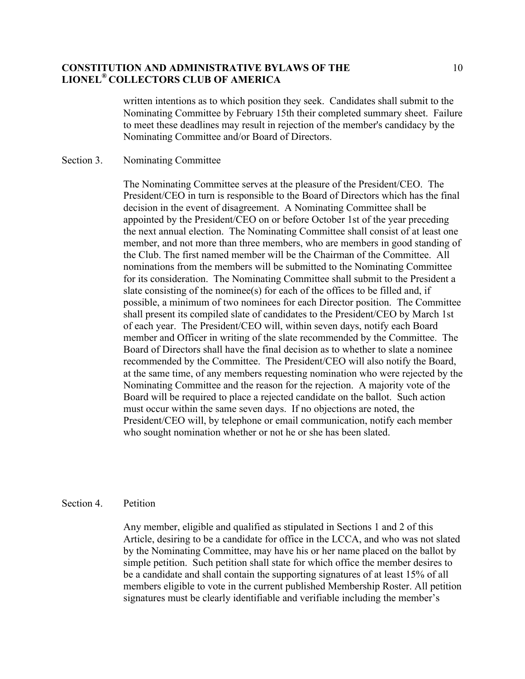written intentions as to which position they seek. Candidates shall submit to the Nominating Committee by February 15th their completed summary sheet. Failure to meet these deadlines may result in rejection of the member's candidacy by the Nominating Committee and/or Board of Directors.

### Section 3. Nominating Committee

The Nominating Committee serves at the pleasure of the President/CEO. The President/CEO in turn is responsible to the Board of Directors which has the final decision in the event of disagreement. A Nominating Committee shall be appointed by the President/CEO on or before October 1st of the year preceding the next annual election. The Nominating Committee shall consist of at least one member, and not more than three members, who are members in good standing of the Club. The first named member will be the Chairman of the Committee. All nominations from the members will be submitted to the Nominating Committee for its consideration. The Nominating Committee shall submit to the President a slate consisting of the nominee(s) for each of the offices to be filled and, if possible, a minimum of two nominees for each Director position. The Committee shall present its compiled slate of candidates to the President/CEO by March 1st of each year. The President/CEO will, within seven days, notify each Board member and Officer in writing of the slate recommended by the Committee. The Board of Directors shall have the final decision as to whether to slate a nominee recommended by the Committee. The President/CEO will also notify the Board, at the same time, of any members requesting nomination who were rejected by the Nominating Committee and the reason for the rejection. A majority vote of the Board will be required to place a rejected candidate on the ballot. Such action must occur within the same seven days. If no objections are noted, the President/CEO will, by telephone or email communication, notify each member who sought nomination whether or not he or she has been slated.

#### Section 4 Petition

Any member, eligible and qualified as stipulated in Sections 1 and 2 of this Article, desiring to be a candidate for office in the LCCA, and who was not slated by the Nominating Committee, may have his or her name placed on the ballot by simple petition. Such petition shall state for which office the member desires to be a candidate and shall contain the supporting signatures of at least 15% of all members eligible to vote in the current published Membership Roster. All petition signatures must be clearly identifiable and verifiable including the member's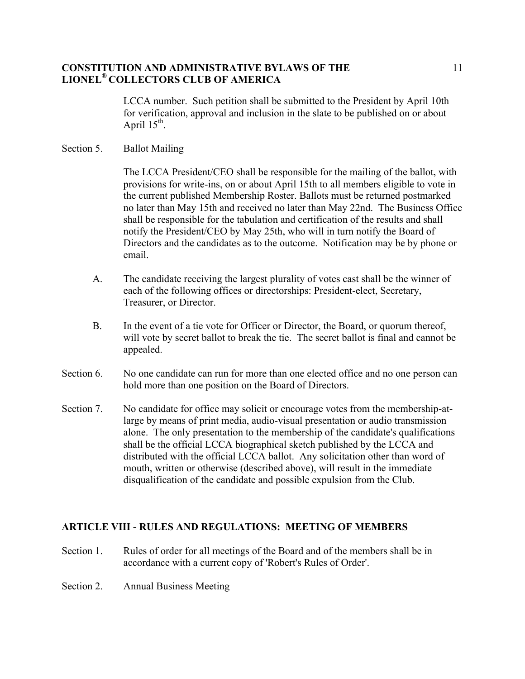LCCA number. Such petition shall be submitted to the President by April 10th for verification, approval and inclusion in the slate to be published on or about April  $15^{th}$ .

### Section 5. Ballot Mailing

The LCCA President/CEO shall be responsible for the mailing of the ballot, with provisions for write-ins, on or about April 15th to all members eligible to vote in the current published Membership Roster. Ballots must be returned postmarked no later than May 15th and received no later than May 22nd. The Business Office shall be responsible for the tabulation and certification of the results and shall notify the President/CEO by May 25th, who will in turn notify the Board of Directors and the candidates as to the outcome. Notification may be by phone or email.

- A. The candidate receiving the largest plurality of votes cast shall be the winner of each of the following offices or directorships: President-elect, Secretary, Treasurer, or Director.
- B. In the event of a tie vote for Officer or Director, the Board, or quorum thereof, will vote by secret ballot to break the tie. The secret ballot is final and cannot be appealed.
- Section 6. No one candidate can run for more than one elected office and no one person can hold more than one position on the Board of Directors.
- Section 7. No candidate for office may solicit or encourage votes from the membership-atlarge by means of print media, audio-visual presentation or audio transmission alone. The only presentation to the membership of the candidate's qualifications shall be the official LCCA biographical sketch published by the LCCA and distributed with the official LCCA ballot. Any solicitation other than word of mouth, written or otherwise (described above), will result in the immediate disqualification of the candidate and possible expulsion from the Club.

## **ARTICLE VIII - RULES AND REGULATIONS: MEETING OF MEMBERS**

- Section 1. Rules of order for all meetings of the Board and of the members shall be in accordance with a current copy of 'Robert's Rules of Order'.
- Section 2. Annual Business Meeting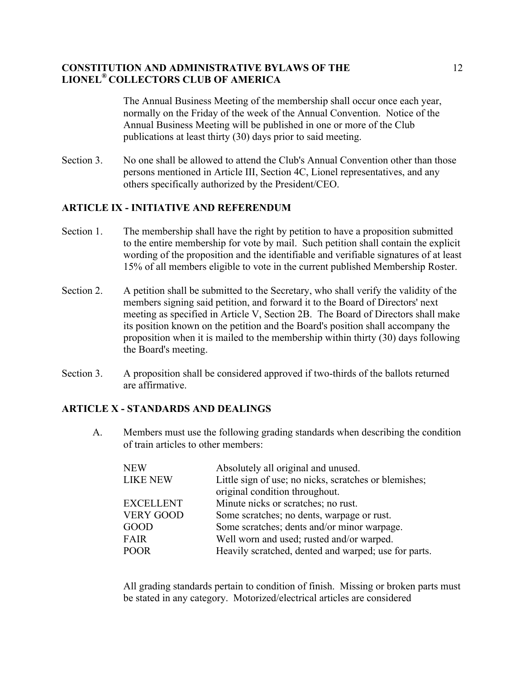The Annual Business Meeting of the membership shall occur once each year, normally on the Friday of the week of the Annual Convention. Notice of the Annual Business Meeting will be published in one or more of the Club publications at least thirty (30) days prior to said meeting.

Section 3. No one shall be allowed to attend the Club's Annual Convention other than those persons mentioned in Article III, Section 4C, Lionel representatives, and any others specifically authorized by the President/CEO.

# **ARTICLE IX - INITIATIVE AND REFERENDUM**

- Section 1. The membership shall have the right by petition to have a proposition submitted to the entire membership for vote by mail. Such petition shall contain the explicit wording of the proposition and the identifiable and verifiable signatures of at least 15% of all members eligible to vote in the current published Membership Roster.
- Section 2. A petition shall be submitted to the Secretary, who shall verify the validity of the members signing said petition, and forward it to the Board of Directors' next meeting as specified in Article V, Section 2B. The Board of Directors shall make its position known on the petition and the Board's position shall accompany the proposition when it is mailed to the membership within thirty (30) days following the Board's meeting.
- Section 3. A proposition shall be considered approved if two-thirds of the ballots returned are affirmative.

## **ARTICLE X - STANDARDS AND DEALINGS**

A. Members must use the following grading standards when describing the condition of train articles to other members:

| <b>NEW</b>       | Absolutely all original and unused.                   |
|------------------|-------------------------------------------------------|
| <b>LIKE NEW</b>  | Little sign of use; no nicks, scratches or blemishes; |
|                  | original condition throughout.                        |
| <b>EXCELLENT</b> | Minute nicks or scratches; no rust.                   |
| <b>VERY GOOD</b> | Some scratches; no dents, warpage or rust.            |
| <b>GOOD</b>      | Some scratches; dents and/or minor warpage.           |
| <b>FAIR</b>      | Well worn and used; rusted and/or warped.             |
| <b>POOR</b>      | Heavily scratched, dented and warped; use for parts.  |
|                  |                                                       |

All grading standards pertain to condition of finish. Missing or broken parts must be stated in any category. Motorized/electrical articles are considered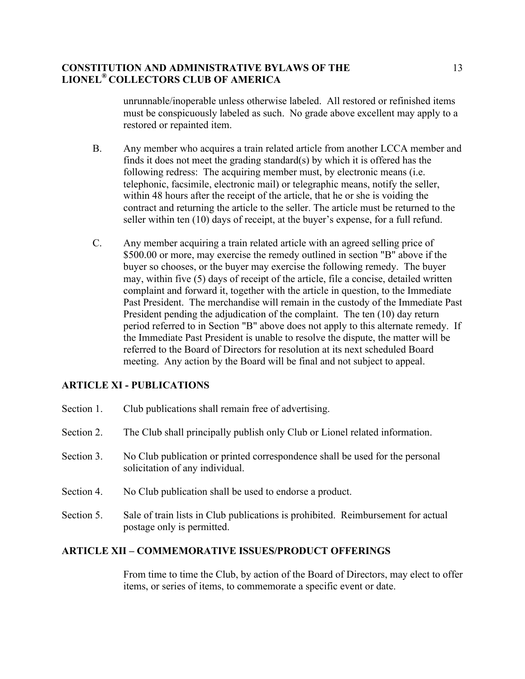unrunnable/inoperable unless otherwise labeled. All restored or refinished items must be conspicuously labeled as such. No grade above excellent may apply to a restored or repainted item.

- B. Any member who acquires a train related article from another LCCA member and finds it does not meet the grading standard(s) by which it is offered has the following redress: The acquiring member must, by electronic means (i.e. telephonic, facsimile, electronic mail) or telegraphic means, notify the seller, within 48 hours after the receipt of the article, that he or she is voiding the contract and returning the article to the seller. The article must be returned to the seller within ten (10) days of receipt, at the buyer's expense, for a full refund.
- C. Any member acquiring a train related article with an agreed selling price of \$500.00 or more, may exercise the remedy outlined in section "B" above if the buyer so chooses, or the buyer may exercise the following remedy. The buyer may, within five (5) days of receipt of the article, file a concise, detailed written complaint and forward it, together with the article in question, to the Immediate Past President. The merchandise will remain in the custody of the Immediate Past President pending the adjudication of the complaint. The ten (10) day return period referred to in Section "B" above does not apply to this alternate remedy. If the Immediate Past President is unable to resolve the dispute, the matter will be referred to the Board of Directors for resolution at its next scheduled Board meeting. Any action by the Board will be final and not subject to appeal.

## **ARTICLE XI - PUBLICATIONS**

- Section 1. Club publications shall remain free of advertising.
- Section 2. The Club shall principally publish only Club or Lionel related information.
- Section 3. No Club publication or printed correspondence shall be used for the personal solicitation of any individual.
- Section 4. No Club publication shall be used to endorse a product.
- Section 5. Sale of train lists in Club publications is prohibited. Reimbursement for actual postage only is permitted.

### **ARTICLE XII – COMMEMORATIVE ISSUES/PRODUCT OFFERINGS**

From time to time the Club, by action of the Board of Directors, may elect to offer items, or series of items, to commemorate a specific event or date.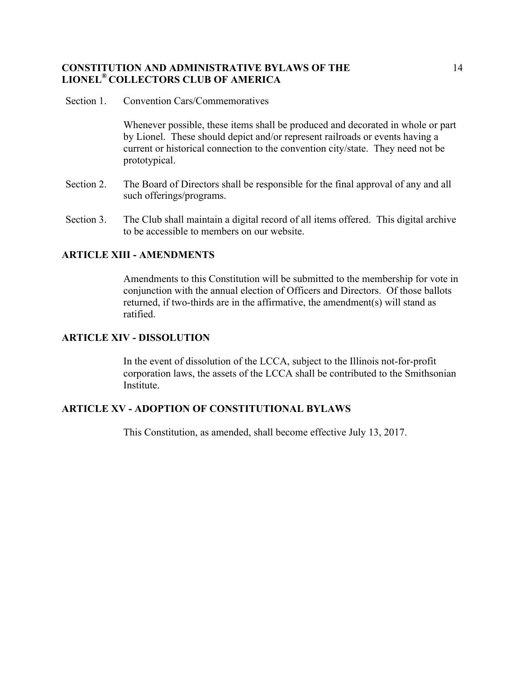Section 1. Convention Cars/Commemoratives

Whenever possible, these items shall be produced and decorated in whole or part by Lionel. These should depict and/or represent railroads or events having a current or historical connection to the convention city/state. They need not be prototypical.

- Section 2. The Board of Directors shall be responsible for the final approval of any and all such offerings/programs.
- Section 3. The Club shall maintain a digital record of all items offered. This digital archive to be accessible to members on our website.

# **ARTICLE XIII - AMENDMENTS**

Amendments to this Constitution will be submitted to the membership for vote in conjunction with the annual election of Officers and Directors. Of those ballots returned, if two-thirds are in the affirmative, the amendment(s) will stand as ratified.

### **ARTICLE XIV - DISSOLUTION**

In the event of dissolution of the LCCA, subject to the Illinois not-for-profit corporation laws, the assets of the LCCA shall be contributed to the Smithsonian **Institute** 

## **ARTICLE XV - ADOPTION OF CONSTITUTIONAL BYLAWS**

This Constitution, as amended, shall become effective July 13, 2017.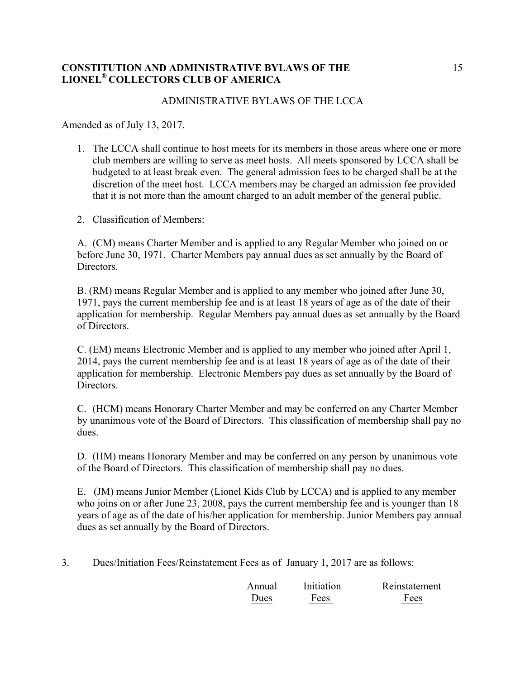### ADMINISTRATIVE BYLAWS OF THE LCCA

Amended as of July 13, 2017.

- 1. The LCCA shall continue to host meets for its members in those areas where one or more club members are willing to serve as meet hosts. All meets sponsored by LCCA shall be budgeted to at least break even. The general admission fees to be charged shall be at the discretion of the meet host. LCCA members may be charged an admission fee provided that it is not more than the amount charged to an adult member of the general public.
- 2. Classification of Members:

A. (CM) means Charter Member and is applied to any Regular Member who joined on or before June 30, 1971. Charter Members pay annual dues as set annually by the Board of Directors.

B. (RM) means Regular Member and is applied to any member who joined after June 30, 1971, pays the current membership fee and is at least 18 years of age as of the date of their application for membership. Regular Members pay annual dues as set annually by the Board of Directors.

C. (EM) means Electronic Member and is applied to any member who joined after April 1, 2014, pays the current membership fee and is at least 18 years of age as of the date of their application for membership. Electronic Members pay dues as set annually by the Board of Directors.

C. (HCM) means Honorary Charter Member and may be conferred on any Charter Member by unanimous vote of the Board of Directors. This classification of membership shall pay no dues.

D. (HM) means Honorary Member and may be conferred on any person by unanimous vote of the Board of Directors. This classification of membership shall pay no dues.

E. (JM) means Junior Member (Lionel Kids Club by LCCA) and is applied to any member who joins on or after June 23, 2008, pays the current membership fee and is younger than 18 years of age as of the date of his/her application for membership. Junior Members pay annual dues as set annually by the Board of Directors.

3. Dues/Initiation Fees/Reinstatement Fees as of January 1, 2017 are as follows:

| Annual      | Initiation | Reinstatement |
|-------------|------------|---------------|
| <b>Dues</b> | Fees       | Fees          |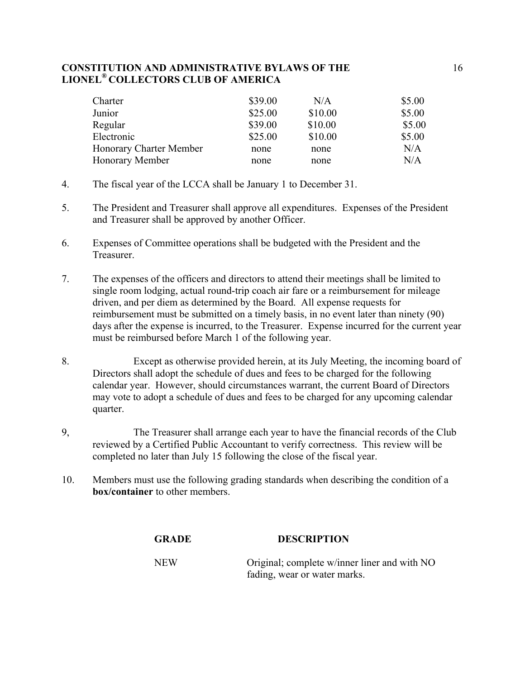| Charter                 | \$39.00 | N/A     | \$5.00 |
|-------------------------|---------|---------|--------|
| Junior                  | \$25.00 | \$10.00 | \$5.00 |
| Regular                 | \$39.00 | \$10.00 | \$5.00 |
| Electronic              | \$25.00 | \$10.00 | \$5.00 |
| Honorary Charter Member | none    | none    | N/A    |
| Honorary Member         | none    | none    | N/A    |

- 4. The fiscal year of the LCCA shall be January 1 to December 31.
- 5. The President and Treasurer shall approve all expenditures. Expenses of the President and Treasurer shall be approved by another Officer.
- 6. Expenses of Committee operations shall be budgeted with the President and the Treasurer.
- 7. The expenses of the officers and directors to attend their meetings shall be limited to single room lodging, actual round-trip coach air fare or a reimbursement for mileage driven, and per diem as determined by the Board. All expense requests for reimbursement must be submitted on a timely basis, in no event later than ninety (90) days after the expense is incurred, to the Treasurer. Expense incurred for the current year must be reimbursed before March 1 of the following year.
- 8. Except as otherwise provided herein, at its July Meeting, the incoming board of Directors shall adopt the schedule of dues and fees to be charged for the following calendar year. However, should circumstances warrant, the current Board of Directors may vote to adopt a schedule of dues and fees to be charged for any upcoming calendar quarter.
- 9, The Treasurer shall arrange each year to have the financial records of the Club reviewed by a Certified Public Accountant to verify correctness. This review will be completed no later than July 15 following the close of the fiscal year.
- 10. Members must use the following grading standards when describing the condition of a **box/container** to other members.

| <b>GRADE</b> | <b>DESCRIPTION</b> |  |
|--------------|--------------------|--|
|              |                    |  |

NEW Original; complete w/inner liner and with NO fading, wear or water marks.